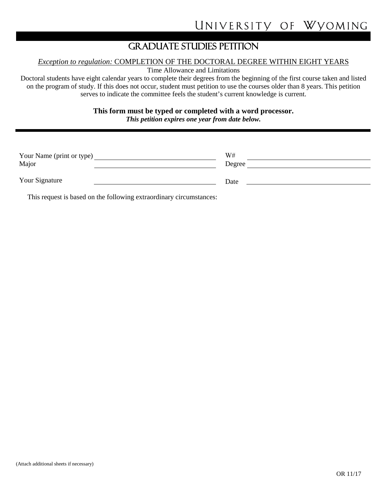## GRADUATE STUDIES PETITION

## *Exception to regulation:* COMPLETION OF THE DOCTORAL DEGREE WITHIN EIGHT YEARS

Time Allowance and Limitations

Doctoral students have eight calendar years to complete their degrees from the beginning of the first course taken and listed on the program of study. If this does not occur, student must petition to use the courses older than 8 years. This petition serves to indicate the committee feels the student's current knowledge is current.

**This form must be typed or completed with a word processor.**

*This petition expires one year from date below.*

| Your Name (print or type)<br>Major | W#<br>Degree |  |
|------------------------------------|--------------|--|
| Your Signature                     | Date         |  |

This request is based on the following extraordinary circumstances: